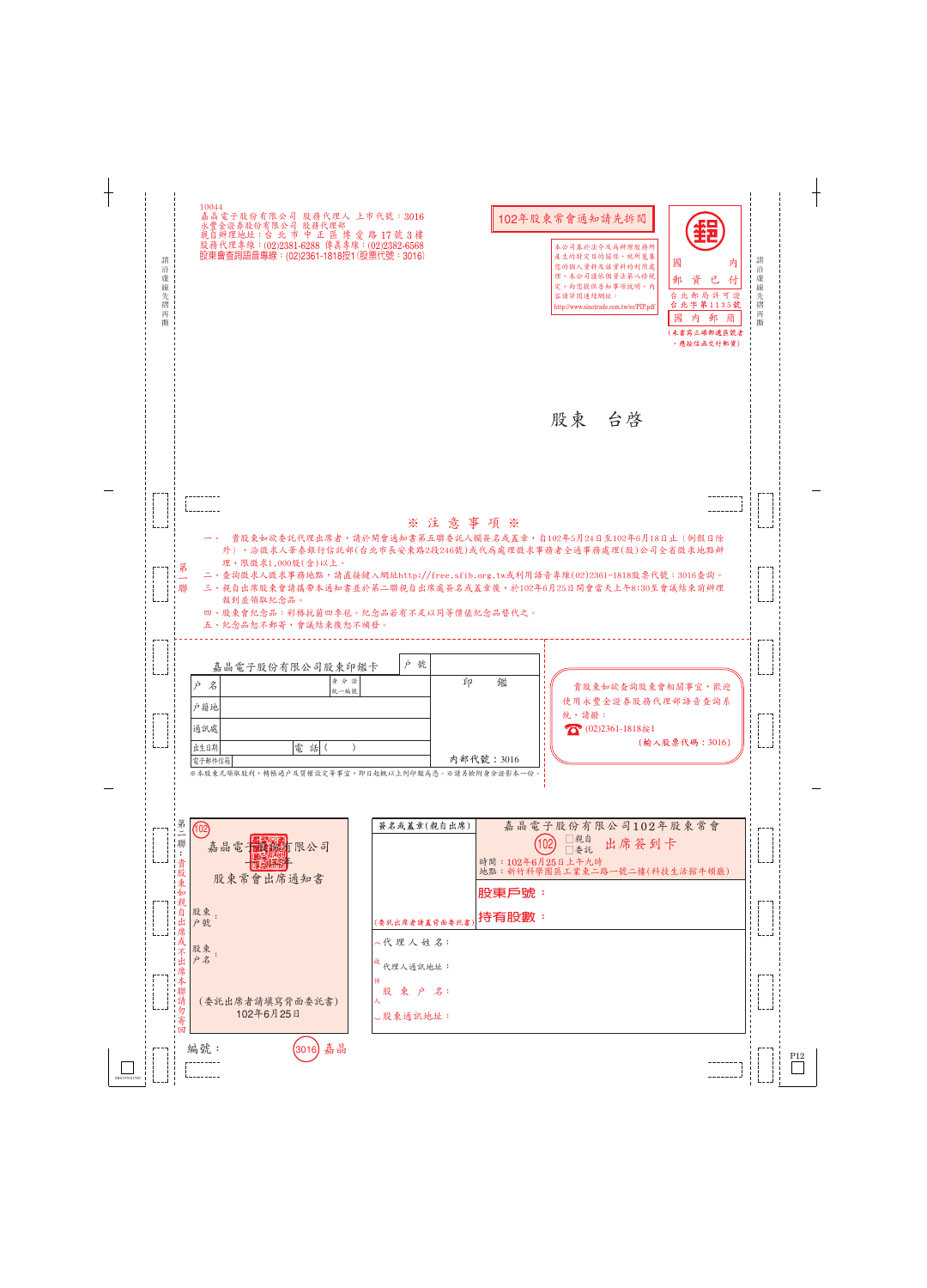